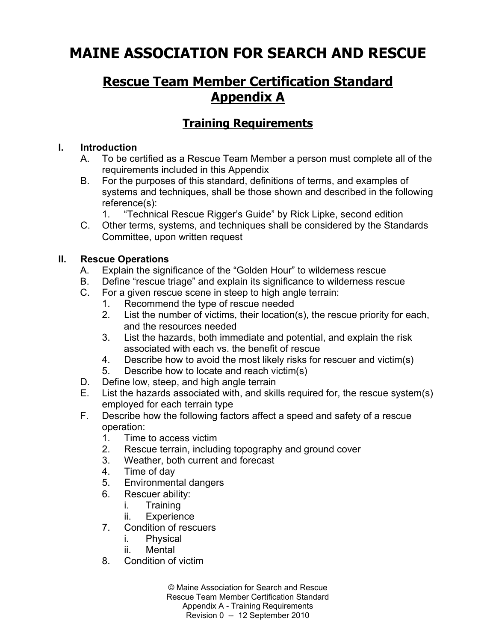# **MAINE ASSOCIATION FOR SEARCH AND RESCUE**

# **Rescue Team Member Certification Standard Appendix A**

# **Training Requirements**

#### **I. Introduction**

- A. To be certified as a Rescue Team Member a person must complete all of the requirements included in this Appendix
- B. For the purposes of this standard, definitions of terms, and examples of systems and techniques, shall be those shown and described in the following reference(s):
	- 1. "Technical Rescue Rigger's Guide" by Rick Lipke, second edition
- C. Other terms, systems, and techniques shall be considered by the Standards Committee, upon written request

### **II. Rescue Operations**

- A. Explain the significance of the "Golden Hour" to wilderness rescue
- B. Define "rescue triage" and explain its significance to wilderness rescue
- C. For a given rescue scene in steep to high angle terrain:
	- 1. Recommend the type of rescue needed
	- 2. List the number of victims, their location(s), the rescue priority for each, and the resources needed
	- 3. List the hazards, both immediate and potential, and explain the risk associated with each vs. the benefit of rescue
	- 4. Describe how to avoid the most likely risks for rescuer and victim(s)
	- 5. Describe how to locate and reach victim(s)
- D. Define low, steep, and high angle terrain
- E. List the hazards associated with, and skills required for, the rescue system(s) employed for each terrain type
- F. Describe how the following factors affect a speed and safety of a rescue operation:
	- 1. Time to access victim
	- 2. Rescue terrain, including topography and ground cover
	- 3. Weather, both current and forecast
	- 4. Time of day
	- 5. Environmental dangers
	- 6. Rescuer ability:
		- i. Training
		- ii. Experience
	- 7. Condition of rescuers
		- i. Physical
		- ii. Mental
	- 8. Condition of victim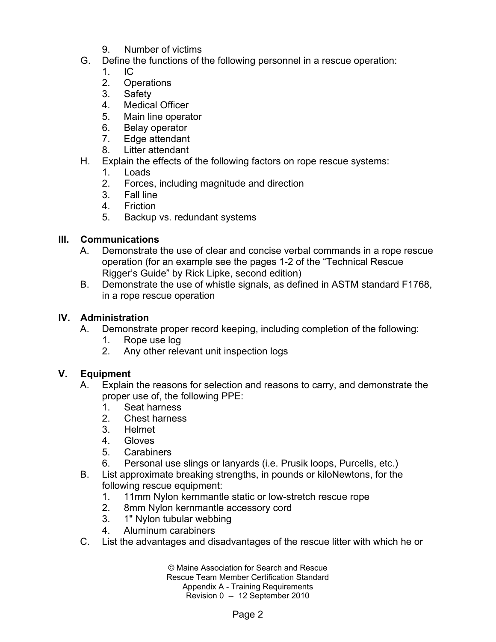- 9. Number of victims
- G. Define the functions of the following personnel in a rescue operation:
	- 1. IC
	- 2. Operations
	- 3. Safety
	- 4. Medical Officer
	- 5. Main line operator
	- 6. Belay operator
	- 7. Edge attendant
	- 8. Litter attendant
- H. Explain the effects of the following factors on rope rescue systems:
	- 1. Loads
	- 2. Forces, including magnitude and direction
	- 3. Fall line
	- 4. Friction
	- 5. Backup vs. redundant systems

# **III. Communications**

- A. Demonstrate the use of clear and concise verbal commands in a rope rescue operation (for an example see the pages 1-2 of the "Technical Rescue Rigger's Guide" by Rick Lipke, second edition)
- B. Demonstrate the use of whistle signals, as defined in ASTM standard F1768, in a rope rescue operation

# **IV. Administration**

- A. Demonstrate proper record keeping, including completion of the following:
	- 1. Rope use log
	- 2. Any other relevant unit inspection logs

# **V. Equipment**

- A. Explain the reasons for selection and reasons to carry, and demonstrate the proper use of, the following PPE:
	- 1. Seat harness
	- 2. Chest harness
	- 3. Helmet
	- 4. Gloves
	- 5. Carabiners
	- 6. Personal use slings or lanyards (i.e. Prusik loops, Purcells, etc.)
- B. List approximate breaking strengths, in pounds or kiloNewtons, for the following rescue equipment:
	- 1. 11mm Nylon kernmantle static or low-stretch rescue rope
	- 2. 8mm Nylon kernmantle accessory cord
	- 3. 1" Nylon tubular webbing
	- 4. Aluminum carabiners
- C. List the advantages and disadvantages of the rescue litter with which he or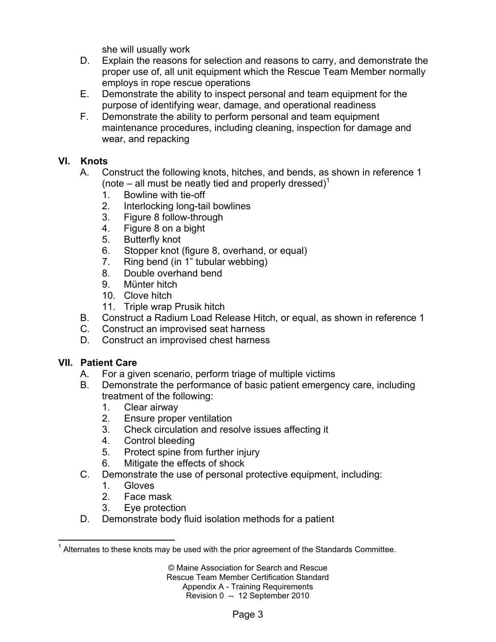she will usually work

- D. Explain the reasons for selection and reasons to carry, and demonstrate the proper use of, all unit equipment which the Rescue Team Member normally employs in rope rescue operations
- E. Demonstrate the ability to inspect personal and team equipment for the purpose of identifying wear, damage, and operational readiness
- F. Demonstrate the ability to perform personal and team equipment maintenance procedures, including cleaning, inspection for damage and wear, and repacking

# **VI. Knots**

- A. Construct the following knots, hitches, and bends, as shown in reference 1 (note – all must be neatly tied and properly dressed)<sup>1</sup>
	- 1. Bowline with tie-off
	- 2. Interlocking long-tail bowlines
	- 3. Figure 8 follow-through
	- 4. Figure 8 on a bight
	- 5. Butterfly knot
	- 6. Stopper knot (figure 8, overhand, or equal)
	- 7. Ring bend (in 1" tubular webbing)
	- 8. Double overhand bend
	- 9. Münter hitch
	- 10. Clove hitch
	- 11. Triple wrap Prusik hitch
- B. Construct a Radium Load Release Hitch, or equal, as shown in reference 1
- C. Construct an improvised seat harness
- D. Construct an improvised chest harness

# **VII. Patient Care**

- A. For a given scenario, perform triage of multiple victims
- B. Demonstrate the performance of basic patient emergency care, including treatment of the following:
	- 1. Clear airway
	- 2. Ensure proper ventilation
	- 3. Check circulation and resolve issues affecting it
	- 4. Control bleeding
	- 5. Protect spine from further injury
	- 6. Mitigate the effects of shock
- C. Demonstrate the use of personal protective equipment, including:
	- 1. Gloves
	- 2. Face mask
	- 3. Eye protection
- D. Demonstrate body fluid isolation methods for a patient

 $\overline{a}$  $1$  Alternates to these knots may be used with the prior agreement of the Standards Committee.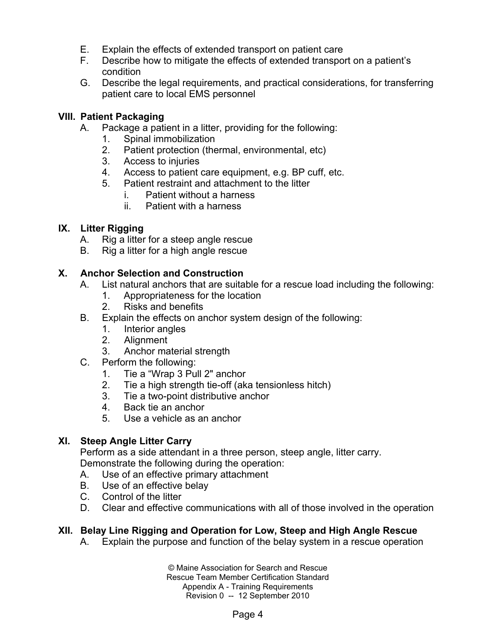- E. Explain the effects of extended transport on patient care
- F. Describe how to mitigate the effects of extended transport on a patient's condition
- G. Describe the legal requirements, and practical considerations, for transferring patient care to local EMS personnel

#### **VIII. Patient Packaging**

- A. Package a patient in a litter, providing for the following:
	- 1. Spinal immobilization
	- 2. Patient protection (thermal, environmental, etc)
	- 3. Access to injuries
	- 4. Access to patient care equipment, e.g. BP cuff, etc.
	- 5. Patient restraint and attachment to the litter
		- i. Patient without a harness
		- ii. Patient with a harness

#### **IX. Litter Rigging**

- A. Rig a litter for a steep angle rescue
- B. Rig a litter for a high angle rescue

#### **X. Anchor Selection and Construction**

- A. List natural anchors that are suitable for a rescue load including the following:
	- 1. Appropriateness for the location
	- 2. Risks and benefits
- B. Explain the effects on anchor system design of the following:
	- 1. Interior angles
	- 2. Alignment
	- 3. Anchor material strength
- C. Perform the following:
	- 1. Tie a "Wrap 3 Pull 2" anchor
	- 2. Tie a high strength tie-off (aka tensionless hitch)
	- 3. Tie a two-point distributive anchor
	- 4. Back tie an anchor
	- 5. Use a vehicle as an anchor

#### **XI. Steep Angle Litter Carry**

Perform as a side attendant in a three person, steep angle, litter carry. Demonstrate the following during the operation:

- A. Use of an effective primary attachment
- B. Use of an effective belay
- C. Control of the litter
- D. Clear and effective communications with all of those involved in the operation

# **XII. Belay Line Rigging and Operation for Low, Steep and High Angle Rescue**

A. Explain the purpose and function of the belay system in a rescue operation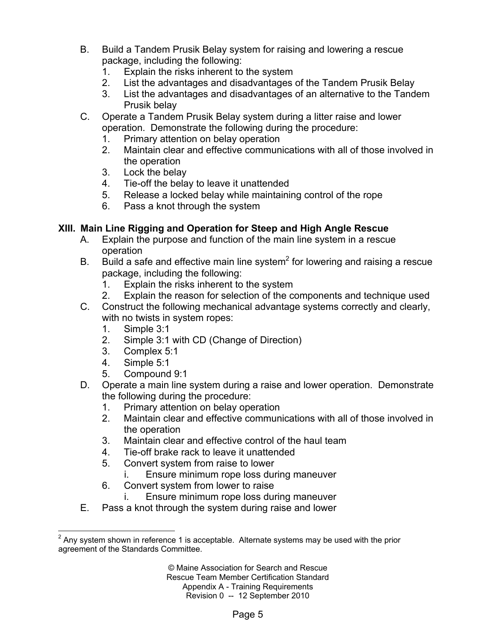- B. Build a Tandem Prusik Belay system for raising and lowering a rescue package, including the following:
	- 1. Explain the risks inherent to the system
	- 2. List the advantages and disadvantages of the Tandem Prusik Belay
	- 3. List the advantages and disadvantages of an alternative to the Tandem Prusik belay
- C. Operate a Tandem Prusik Belay system during a litter raise and lower operation. Demonstrate the following during the procedure:
	- 1. Primary attention on belay operation
	- 2. Maintain clear and effective communications with all of those involved in the operation
	- 3. Lock the belay
	- 4. Tie-off the belay to leave it unattended
	- 5. Release a locked belay while maintaining control of the rope
	- 6. Pass a knot through the system

### **XIII. Main Line Rigging and Operation for Steep and High Angle Rescue**

- A. Explain the purpose and function of the main line system in a rescue operation
- B. Build a safe and effective main line system<sup>2</sup> for lowering and raising a rescue package, including the following:
	- 1. Explain the risks inherent to the system
	- 2. Explain the reason for selection of the components and technique used
- C. Construct the following mechanical advantage systems correctly and clearly, with no twists in system ropes:
	- 1. Simple 3:1
	- 2. Simple 3:1 with CD (Change of Direction)
	- 3. Complex 5:1
	- 4. Simple 5:1
	- 5. Compound 9:1
- D. Operate a main line system during a raise and lower operation. Demonstrate the following during the procedure:
	- 1. Primary attention on belay operation
	- 2. Maintain clear and effective communications with all of those involved in the operation
	- 3. Maintain clear and effective control of the haul team
	- 4. Tie-off brake rack to leave it unattended
	- 5. Convert system from raise to lower
		- Ensure minimum rope loss during maneuver
	- 6. Convert system from lower to raise
		- i. Ensure minimum rope loss during maneuver
- E. Pass a knot through the system during raise and lower

<sup>&</sup>lt;u>2</u><br><sup>2</sup> Any system shown in reference 1 is acceptable. Alternate systems may be used with the prior agreement of the Standards Committee.